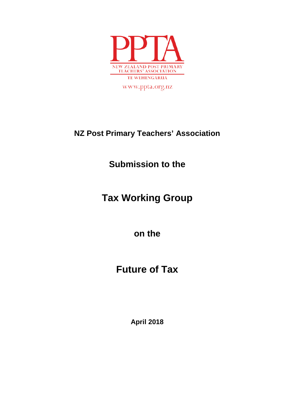

www.ppta.org.nz

### **NZ Post Primary Teachers' Association**

## **Submission to the**

## **Tax Working Group**

**on the** 

# **Future of Tax**

**April 2018**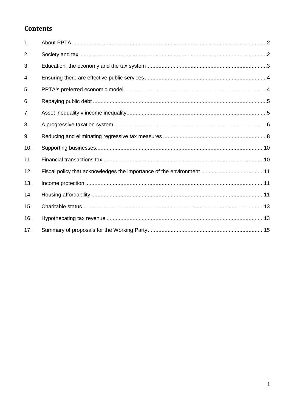### **Contents**

| 1.  |  |
|-----|--|
| 2.  |  |
| 3.  |  |
| 4.  |  |
| 5.  |  |
| 6.  |  |
| 7.  |  |
| 8.  |  |
| 9.  |  |
| 10. |  |
| 11. |  |
| 12. |  |
| 13. |  |
| 14. |  |
| 15. |  |
| 16. |  |
| 17. |  |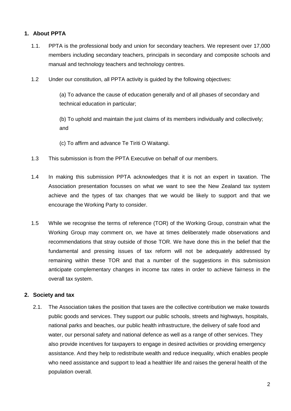#### <span id="page-2-0"></span>**1. About PPTA**

- 1.1. PPTA is the professional body and union for secondary teachers. We represent over 17,000 members including secondary teachers, principals in secondary and composite schools and manual and technology teachers and technology centres.
- 1.2 Under our constitution, all PPTA activity is guided by the following objectives:

(a) To advance the cause of education generally and of all phases of secondary and technical education in particular;

(b) To uphold and maintain the just claims of its members individually and collectively; and

- (c) To affirm and advance Te Tiriti O Waitangi.
- 1.3 This submission is from the PPTA Executive on behalf of our members.
- 1.4 In making this submission PPTA acknowledges that it is not an expert in taxation. The Association presentation focusses on what we want to see the New Zealand tax system achieve and the types of tax changes that we would be likely to support and that we encourage the Working Party to consider.
- 1.5 While we recognise the terms of reference (TOR) of the Working Group, constrain what the Working Group may comment on, we have at times deliberately made observations and recommendations that stray outside of those TOR. We have done this in the belief that the fundamental and pressing issues of tax reform will not be adequately addressed by remaining within these TOR and that a number of the suggestions in this submission anticipate complementary changes in income tax rates in order to achieve fairness in the overall tax system.

#### <span id="page-2-1"></span>**2. Society and tax**

2.1. The Association takes the position that taxes are the collective contribution we make towards public goods and services. They support our public schools, streets and highways, hospitals, national parks and beaches, our public health infrastructure, the delivery of safe food and water, our personal safety and national defence as well as a range of other services. They also provide incentives for taxpayers to engage in desired activities or providing emergency assistance. And they help to redistribute wealth and reduce inequality, which enables people who need assistance and support to lead a healthier life and raises the general health of the population overall.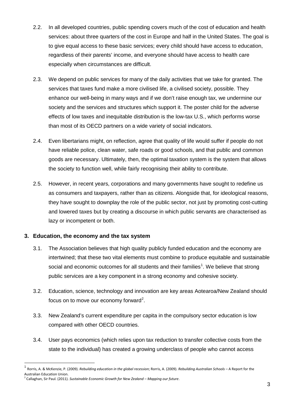- 2.2. In all developed countries, public spending covers much of the cost of education and health services: about three quarters of the cost in Europe and half in the United States. The goal is to give equal access to these basic services; every child should have access to education, regardless of their parents' income, and everyone should have access to health care especially when circumstances are difficult.
- 2.3. We depend on public services for many of the daily activities that we take for granted. The services that taxes fund make a more civilised life, a civilised society, possible. They enhance our well-being in many ways and if we don't raise enough tax, we undermine our society and the services and structures which support it. The poster child for the adverse effects of low taxes and inequitable distribution is the low-tax U.S., which performs worse than most of its OECD partners on a wide variety of social indicators.
- 2.4. Even libertarians might, on reflection, agree that quality of life would suffer if people do not have reliable police, clean water, safe roads or good schools, and that public and common goods are necessary. Ultimately, then, the optimal taxation system is the system that allows the society to function well, while fairly recognising their ability to contribute.
- 2.5. However, in recent years, corporations and many governments have sought to redefine us as consumers and taxpayers, rather than as citizens. Alongside that, for ideological reasons, they have sought to downplay the role of the public sector, not just by promoting cost-cutting and lowered taxes but by creating a discourse in which public servants are characterised as lazy or incompetent or both.

#### <span id="page-3-0"></span>**3. Education, the economy and the tax system**

- 3.1. The Association believes that high quality publicly funded education and the economy are intertwined; that these two vital elements must combine to produce equitable and sustainable social and economic outcomes for all students and their families<sup>[1](#page-3-1)</sup>. We believe that strong public services are a key component in a strong economy and cohesive society.
- 3.2. Education, science, technology and innovation are key areas Aotearoa/New Zealand should focus on to move our economy forward<sup>[2](#page-3-2)</sup>.
- 3.3. New Zealand's current expenditure per capita in the compulsory sector education is low compared with other OECD countries.
- 3.4. User pays economics (which relies upon tax reduction to transfer collective costs from the state to the individual) has created a growing underclass of people who cannot access

<span id="page-3-1"></span><sup>1</sup> Rorris, A. & McKenzie, P. (2009). *Rebuilding education in the global recession*; Rorris, A. (2009). *Rebuilding Australian Schools* – A Report for the Australian Education Union.

<span id="page-3-2"></span><sup>2</sup> Callaghan, Sir Paul. (2011). *Sustainable Economic Growth for New Zealand – Mapping our future*.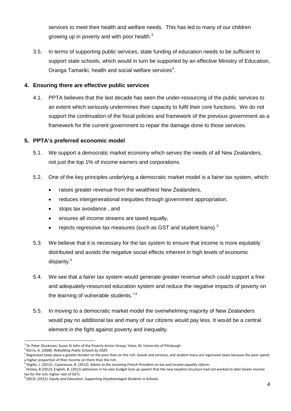services to meet their health and welfare needs. This has led to many of our children growing up in poverty and with poor health.<sup>[3](#page-4-2)</sup>

3.5. In terms of supporting public services, state funding of education needs to be sufficient to support state schools, which would in turn be supported by an effective Ministry of Education, Oranga Tamariki, health and social welfare services<sup>[4](#page-4-3)</sup>.

#### <span id="page-4-0"></span>**4. Ensuring there are effective public services**

4.1. PPTA believes that the last decade has seen the under-resourcing of the public services to an extent which seriously undermines their capacity to fulfil their core functions. We do not support the continuation of the fiscal policies and framework of the previous government as a framework for the current government to repair the damage done to those services.

#### <span id="page-4-1"></span>**5. PPTA's preferred economic model**

- 5.1. We support a democratic market economy which serves the needs of all New Zealanders, not just the top 1% of income earners and corporations.
- 5.2. One of the key principles underlying a democratic market model is a fairer tax system, which:
	- raises greater revenue from the wealthiest New Zealanders,
	- reduces intergenerational inequities through government appropriation,
	- stops tax avoidance , and
	- ensures all income streams are taxed equally.
	- rejects regressive tax measures (such as GST and student loans).<sup>[5](#page-4-4)</sup>
- 5.3. We believe that it is necessary for the tax system to ensure that income is more equitably distributed and avoids the negative social effects inherent in high levels of economic disparity.<sup>[6](#page-4-5)</sup>
- 5.4. We see that a fairer tax system would generate greater revenue which could support a free and adequately-resourced education system and reduce the negative impacts of poverty on the learning of vulnerable students. $7,8$  $7,8$  $7,8$
- 5.5. In moving to a democratic market model the overwhelming majority of New Zealanders would pay no additional tax and many of our citizens would pay less. It would be a central element in the fight against poverty and inequality.

<span id="page-4-2"></span><sup>&</sup>lt;sup>3</sup> Sir Peter Gluckman; Susan St John of the Poverty Action Group; Yates, M. University of Pittsburgh.<br><sup>4</sup> Rorris, A. (2008). *Rebuilding Public Schools by 2020*.

<span id="page-4-4"></span><span id="page-4-3"></span><sup>&</sup>lt;sup>5</sup> Regressive taxes place a greater burden on the poor than on the rich. Goods and services, and student loans are regressive taxes because the poor spend

<span id="page-4-6"></span><span id="page-4-5"></span>

a higher proportion of their income on them than the rich.<br><sup>6</sup> Stiglitz, J. (2012).; Cazeneuve, B. (2012). *Advice to the incoming French President on tax and income equality reform*.<br><sup>7</sup> Hickey, B (2012); English, B. (201 tax for the rich, higher rate of GST).

<span id="page-4-7"></span><sup>8</sup> OECD. (2012). *Equity and Education: Supporting Disadvantaged Students in Schools*.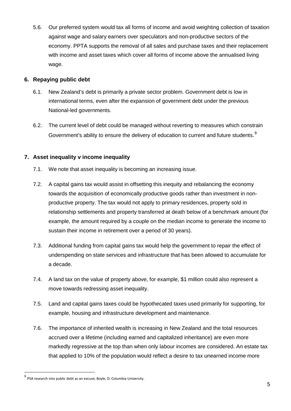5.6. Our preferred system would tax all forms of income and avoid weighting collection of taxation against wage and salary earners over speculators and non-productive sectors of the economy. PPTA supports the removal of all sales and purchase taxes and their replacement with income and asset taxes which cover all forms of income above the annualised living wage.

#### <span id="page-5-0"></span>**6. Repaying public debt**

- 6.1. New Zealand's debt is primarily a private sector problem. Government debt is low in international terms, even after the expansion of government debt under the previous National-led governments.
- 6.2. The current level of debt could be managed without reverting to measures which constrain Government's ability to ensure the delivery of education to current and future students. $<sup>9</sup>$  $<sup>9</sup>$  $<sup>9</sup>$ </sup>

#### <span id="page-5-1"></span>**7. Asset inequality v income inequality**

- 7.1. We note that asset inequality is becoming an increasing issue.
- 7.2. A capital gains tax would assist in offsetting this inequity and rebalancing the economy towards the acquisition of economically productive goods rather than investment in nonproductive property. The tax would not apply to primary residences, property sold in relationship settlements and property transferred at death below of a benchmark amount (for example, the amount required by a couple on the median income to generate the income to sustain their income in retirement over a period of 30 years).
- 7.3. Additional funding from capital gains tax would help the government to repair the effect of underspending on state services and infrastructure that has been allowed to accumulate for a decade.
- 7.4. A land tax on the value of property above, for example, \$1 million could also represent a move towards redressing asset inequality.
- 7.5. Land and capital gains taxes could be hypothecated taxes used primarily for supporting, for example, housing and infrastructure development and maintenance.
- 7.6. The importance of inherited wealth is increasing in New Zealand and the total resources accrued over a lifetime (including earned and capitalized inheritance) are even more markedly regressive at the top than when only labour incomes are considered. An estate tax that applied to 10% of the population would reflect a desire to tax unearned income more

<span id="page-5-2"></span> $^{9}$  PSA research into public debt as an excuse; Boyle, D. Columbia University.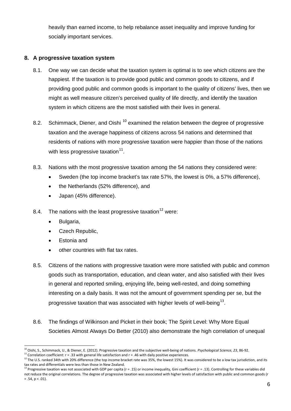heavily than earned income, to help rebalance asset inequality and improve funding for socially important services.

#### <span id="page-6-0"></span>**8. A progressive taxation system**

- 8.1. One way we can decide what the taxation system is optimal is to see which citizens are the happiest. If the taxation is to provide good public and common goods to citizens, and if providing good public and common goods is important to the quality of citizens' lives, then we might as well measure citizen's perceived quality of life directly, and identify the taxation system in which citizens are the most satisfied with their lives in general.
- 8.2. Schimmack, Diener, and Oishi<sup>[10](#page-6-1)</sup> examined the relation between the degree of progressive taxation and the average happiness of citizens across 54 nations and determined that residents of nations with more progressive taxation were happier than those of the nations with less progressive taxation $^{11}$  $^{11}$  $^{11}$ .
- 8.3. Nations with the most progressive taxation among the 54 nations they considered were:
	- Sweden (the top income bracket's tax rate 57%, the lowest is 0%, a 57% difference),
	- the Netherlands (52% difference), and
	- Japan (45% difference).
- 8.4. The nations with the least progressive taxation  $12$  were:
	- Bulgaria,
	- Czech Republic,
	- Estonia and
	- other countries with flat tax rates.
- 8.5. Citizens of the nations with progressive taxation were more satisfied with public and common goods such as transportation, education, and clean water, and also satisfied with their lives in general and reported smiling, enjoying life, being well-rested, and doing something interesting on a daily basis. It was not the amount of government spending per se, but the progressive taxation that was associated with higher levels of well-being<sup>[13](#page-6-4)</sup>.
- 8.6. The findings of Wilkinson and Picket in their book; The Spirit Level: Why More Equal Societies Almost Always Do Better (2010) also demonstrate the high correlation of unequal

<span id="page-6-1"></span><sup>&</sup>lt;sup>10</sup> Oishi, S., Schimmack, U., & Diener, E. (2012). Progressive taxation and the subjective well-being of nations. Psychological Science, 23, 86-92.<br><sup>11</sup> Correlation coefficient: r = .33 with general life satisfaction and

<span id="page-6-3"></span><span id="page-6-2"></span><sup>&</sup>lt;sup>12</sup> The U.S. ranked 34th with 20% difference (the top income bracket rate was 35%, the lowest 15%). It was considered to be a low tax jurisdiction, and its tax rates and differentials were less than those in New Zealand.

<span id="page-6-4"></span><sup>13</sup> Progressive taxation was not associated with GDP per capita (r = .15) or income inequality, Gini coefficient (r = .13). Controlling for these variables did not reduce the original correlations. The degree of progressive taxation was associated with higher levels of satisfaction with public and common goods (r  $= .54, p < .01$ ).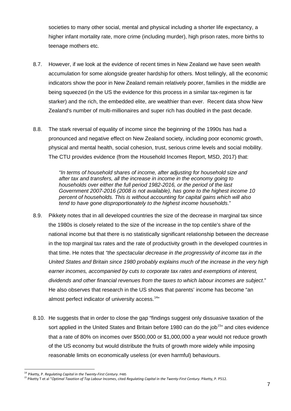societies to many other social, mental and physical including a shorter life expectancy, a higher infant mortality rate, more crime (including murder), high prison rates, more births to teenage mothers etc.

- 8.7. However, if we look at the evidence of recent times in New Zealand we have seen wealth accumulation for some alongside greater hardship for others. Most tellingly, all the economic indicators show the poor in New Zealand remain relatively poorer, families in the middle are being squeezed (in the US the evidence for this process in a similar tax-regimen is far starker) and the rich, the embedded elite, are wealthier than ever. Recent data show New Zealand's number of multi-millionaires and super rich has doubled in the past decade.
- 8.8. The stark reversal of equality of income since the beginning of the 1990s has had a pronounced and negative effect on New Zealand society, including poor economic growth, physical and mental health, social cohesion, trust, serious crime levels and social mobility. The CTU provides evidence (from the Household Incomes Report, MSD, 2017) that:

*"In terms of household shares of income, after adjusting for household size and after tax and transfers, all the increase in income in the economy going to households over either the full period 1982-2016, or the period of the last Government 2007-2016 (2008 is not available), has gone to the highest income 10 percent of households. This is without accounting for capital gains which will also tend to have gone disproportionately to the highest income households*."

- 8.9. Pikkety notes that in all developed countries the size of the decrease in marginal tax since the 1980s is closely related to the size of the increase in the top centile's share of the national income but that there is no statistically significant relationship between the decrease in the top marginal tax rates and the rate of productivity growth in the developed countries in that time. He notes that *"the spectacular decrease in the progressivity of income tax in the United States and Britain since 1980 probably explains much of the increase in the very high earner incomes, accompanied by cuts to corporate tax rates and exemptions of interest, dividends and other financial revenues from the taxes to which labour incomes are subject*." He also observes that research in the US shows that parents' income has become "an almost perfect indicator of university access. $14$ "
- 8.10. He suggests that in order to close the gap "findings suggest only dissuasive taxation of the sort applied in the United States and Britain before 1980 can do the job<sup>[15](#page-7-1)</sup> and cites evidence that a rate of 80% on incomes over \$500,000 or \$1,000,000 a year would not reduce growth of the US economy but would distribute the fruits of growth more widely while imposing reasonable limits on economically useless (or even harmful) behaviours.

<span id="page-7-1"></span><span id="page-7-0"></span><sup>&</sup>lt;sup>14</sup> Piketty, P. *Regulating Capital in the Twenty-First Century*. P485<br><sup>15</sup> Piketty T et al "Optimal Taxation of Top Labour Incomes, cited *Regulating Capital in the Twenty-First Century*. Piketty, P. P512.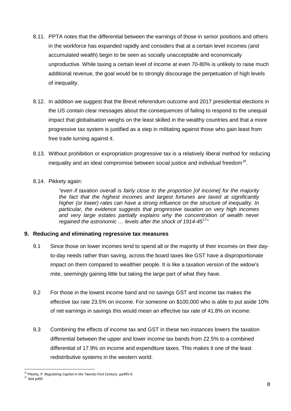- 8.11. PPTA notes that the differential between the earnings of those in senior positions and others in the workforce has expanded rapidly and considers that at a certain level incomes (and accumulated wealth) begin to be seen as socially unacceptable and economically unproductive. While taxing a certain level of income at even 70-80% is unlikely to raise much additional revenue, the goal would be to strongly discourage the perpetuation of high levels of inequality.
- 8.12. In addition we suggest that the Brexit referendum outcome and 2017 presidential elections in the US contain clear messages about the consequences of failing to respond to the unequal impact that globalisation weighs on the least skilled in the wealthy countries and that a more progressive tax system is justified as a step in militating against those who gain least from free trade turning against it.
- 8.13. Without prohibition or expropriation progressive tax is a relatively liberal method for reducing inequality and an ideal compromise between social justice and individual freedom<sup>16</sup>.

#### 8.14. Pikkety again:

*"even if taxation overall is fairly close to the proportion [of income] for the majority the fact that the highest incomes and largest fortunes are taxed at significantly higher (or lower) rates can have a strong influence on the structure of inequality. In particular, the evidence suggests that progressive taxation on very high incomes*  and very large estates partially explains why the concentration of wealth never *regained the astronomic … levels after the shock of 1914-45*[17](#page-8-2)*"*

#### <span id="page-8-0"></span>**9. Reducing and eliminating regressive tax measures**

- 9.1 Since those on lower incomes tend to spend all or the majority of their incomes on their dayto-day needs rather than saving, across the board taxes like GST have a disproportionate impact on them compared to wealthier people. It is like a taxation version of the widow's mite, seemingly gaining little but taking the large part of what they have.
- 9.2 For those in the lowest income band and no savings GST and income tax makes the effective tax rate 23.5% on income. For someone on \$100,000 who is able to put aside 10% of net earnings in savings this would mean an effective tax rate of 41.8% on income.
- 9.3 Combining the effects of income tax and GST in these two instances lowers the taxation differential between the upper and lower income tax bands from 22.5% to a combined differential of 17.9% on income and expenditure taxes. This makes it one of the least redistributive systems in the western world.

<span id="page-8-1"></span><sup>16</sup> Piketty, P. *Regulating Capital in the Twenty-First Century*. pp495-6

<span id="page-8-2"></span> $17$  Ibid p495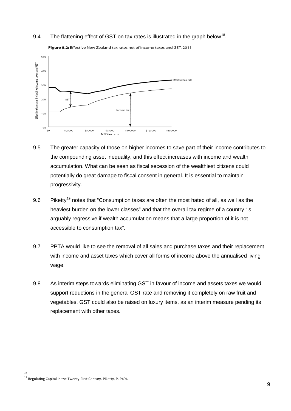#### 9.4 The flattening effect of GST on tax rates is illustrated in the graph below<sup>[18](#page-9-0)</sup>.



Figure 8.2: Effective New Zealand tax rates net of income taxes and GST, 2011

- 9.5 The greater capacity of those on higher incomes to save part of their income contributes to the compounding asset inequality, and this effect increases with income and wealth accumulation. What can be seen as fiscal secession of the wealthiest citizens could potentially do great damage to fiscal consent in general. It is essential to maintain progressivity.
- 9.6 Piketty<sup>[19](#page-9-1)</sup> notes that "Consumption taxes are often the most hated of all, as well as the heaviest burden on the lower classes" and that the overall tax regime of a country "is arguably regressive if wealth accumulation means that a large proportion of it is not accessible to consumption tax".
- 9.7 PPTA would like to see the removal of all sales and purchase taxes and their replacement with income and asset taxes which cover all forms of income above the annualised living wage.
- 9.8 As interim steps towards eliminating GST in favour of income and assets taxes we would support reductions in the general GST rate and removing it completely on raw fruit and vegetables. GST could also be raised on luxury items, as an interim measure pending its replacement with other taxes.

 $\overline{a}$ 18

<span id="page-9-1"></span><span id="page-9-0"></span><sup>&</sup>lt;sup>19</sup> Regulating Capital in the Twenty-First Century. Piketty, P. P494.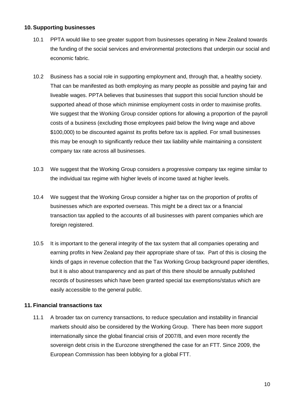#### <span id="page-10-0"></span>**10. Supporting businesses**

- 10.1 PPTA would like to see greater support from businesses operating in New Zealand towards the funding of the social services and environmental protections that underpin our social and economic fabric.
- 10.2 Business has a social role in supporting employment and, through that, a healthy society. That can be manifested as both employing as many people as possible and paying fair and liveable wages. PPTA believes that businesses that support this social function should be supported ahead of those which minimise employment costs in order to maximise profits. We suggest that the Working Group consider options for allowing a proportion of the payroll costs of a business (excluding those employees paid below the living wage and above \$100,000) to be discounted against its profits before tax is applied. For small businesses this may be enough to significantly reduce their tax liability while maintaining a consistent company tax rate across all businesses.
- 10.3 We suggest that the Working Group considers a progressive company tax regime similar to the individual tax regime with higher levels of income taxed at higher levels.
- 10.4 We suggest that the Working Group consider a higher tax on the proportion of profits of businesses which are exported overseas. This might be a direct tax or a financial transaction tax applied to the accounts of all businesses with parent companies which are foreign registered.
- 10.5 It is important to the general integrity of the tax system that all companies operating and earning profits in New Zealand pay their appropriate share of tax. Part of this is closing the kinds of gaps in revenue collection that the Tax Working Group background paper identifies, but it is also about transparency and as part of this there should be annually published records of businesses which have been granted special tax exemptions/status which are easily accessible to the general public.

#### <span id="page-10-1"></span>**11. Financial transactions tax**

11.1 A broader tax on currency transactions, to reduce speculation and instability in financial markets should also be considered by the Working Group. There has been more support internationally since the global financial crisis of 2007/8, and even more recently the sovereign debt crisis in the Eurozone strengthened the case for an FTT. Since 2009, the European Commission has been lobbying for a global FTT.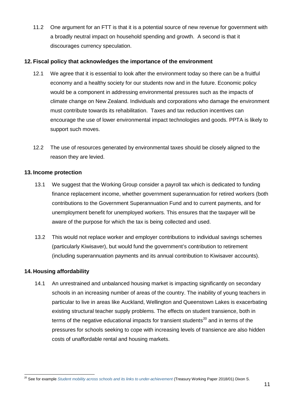11.2 One argument for an FTT is that it is a potential source of new revenue for government with a broadly neutral impact on household spending and growth. A second is that it discourages currency speculation.

#### <span id="page-11-0"></span>**12. Fiscal policy that acknowledges the importance of the environment**

- 12.1 We agree that it is essential to look after the environment today so there can be a fruitful economy and a healthy society for our students now and in the future. Economic policy would be a component in addressing environmental pressures such as the impacts of climate change on New Zealand. Individuals and corporations who damage the environment must contribute towards its rehabilitation. Taxes and tax reduction incentives can encourage the use of lower environmental impact technologies and goods. PPTA is likely to support such moves.
- 12.2 The use of resources generated by environmental taxes should be closely aligned to the reason they are levied.

#### <span id="page-11-1"></span>**13. Income protection**

- 13.1 We suggest that the Working Group consider a payroll tax which is dedicated to funding finance replacement income, whether government superannuation for retired workers (both contributions to the Government Superannuation Fund and to current payments, and for unemployment benefit for unemployed workers. This ensures that the taxpayer will be aware of the purpose for which the tax is being collected and used.
- 13.2 This would not replace worker and employer contributions to individual savings schemes (particularly Kiwisaver), but would fund the government's contribution to retirement (including superannuation payments and its annual contribution to Kiwisaver accounts).

#### <span id="page-11-2"></span>**14. Housing affordability**

14.1 An unrestrained and unbalanced housing market is impacting significantly on secondary schools in an increasing number of areas of the country. The inability of young teachers in particular to live in areas like Auckland, Wellington and Queenstown Lakes is exacerbating existing structural teacher supply problems. The effects on student transience, both in terms of the negative educational impacts for transient students<sup>[20](#page-11-3)</sup> and in terms of the pressures for schools seeking to cope with increasing levels of transience are also hidden costs of unaffordable rental and housing markets.

<span id="page-11-3"></span><sup>&</sup>lt;sup>20</sup> See for example *[Student mobility across schools and its links to under-achievement](https://treasury.govt.nz/publications/wp/wp-18-01#_blank)* (Treasury Working Paper 2018/01) Dixon S.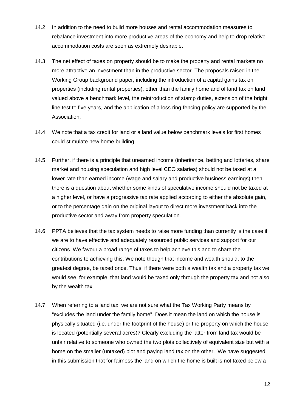- 14.2 In addition to the need to build more houses and rental accommodation measures to rebalance investment into more productive areas of the economy and help to drop relative accommodation costs are seen as extremely desirable.
- 14.3 The net effect of taxes on property should be to make the property and rental markets no more attractive an investment than in the productive sector. The proposals raised in the Working Group background paper, including the introduction of a capital gains tax on properties (including rental properties), other than the family home and of land tax on land valued above a benchmark level, the reintroduction of stamp duties, extension of the bright line test to five years, and the application of a loss ring-fencing policy are supported by the Association.
- 14.4 We note that a tax credit for land or a land value below benchmark levels for first homes could stimulate new home building.
- 14.5 Further, if there is a principle that unearned income (inheritance, betting and lotteries, share market and housing speculation and high level CEO salaries) should not be taxed at a lower rate than earned income (wage and salary and productive business earnings) then there is a question about whether some kinds of speculative income should not be taxed at a higher level, or have a progressive tax rate applied according to either the absolute gain, or to the percentage gain on the original layout to direct more investment back into the productive sector and away from property speculation.
- 14.6 PPTA believes that the tax system needs to raise more funding than currently is the case if we are to have effective and adequately resourced public services and support for our citizens. We favour a broad range of taxes to help achieve this and to share the contributions to achieving this. We note though that income and wealth should, to the greatest degree, be taxed once. Thus, if there were both a wealth tax and a property tax we would see, for example, that land would be taxed only through the property tax and not also by the wealth tax
- 14.7 When referring to a land tax, we are not sure what the Tax Working Party means by "excludes the land under the family home". Does it mean the land on which the house is physically situated (i.e. under the footprint of the house) or the property on which the house is located (potentially several acres)? Clearly excluding the latter from land tax would be unfair relative to someone who owned the two plots collectively of equivalent size but with a home on the smaller (untaxed) plot and paying land tax on the other. We have suggested in this submission that for fairness the land on which the home is built is not taxed below a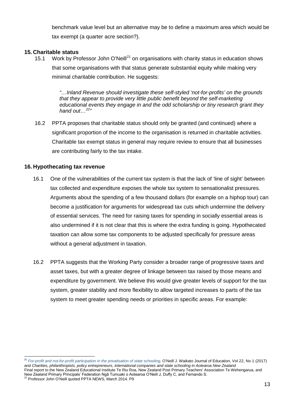benchmark value level but an alternative may be to define a maximum area which would be tax exempt (a quarter acre section?).

#### <span id="page-13-0"></span>**15. Charitable status**

15.1 Work by Professor John O'Neill<sup>[21](#page-13-2)</sup> on organisations with charity status in education shows that some organisations with that status generate substantial equity while making very minimal charitable contribution. He suggests:

> *"…Inland Revenue should investigate these self-styled 'not-for-profits' on the grounds that they appear to provide very little public benefit beyond the self-marketing educational events they engage in and the odd scholarship or tiny research grant they hand out…[22"](#page-13-3)*

16.2 PPTA proposes that charitable status should only be granted (and continued) where a significant proportion of the income to the organisation is returned in charitable activities. Charitable tax exempt status in general may require review to ensure that all businesses are contributing fairly to the tax intake.

#### <span id="page-13-1"></span>**16. Hypothecating tax revenue**

- 16.1 One of the vulnerabilities of the current tax system is that the lack of 'line of sight' between tax collected and expenditure exposes the whole tax system to sensationalist pressures. Arguments about the spending of a few thousand dollars (for example on a hiphop tour) can become a justification for arguments for widespread tax cuts which undermine the delivery of essential services. The need for raising taxes for spending in socially essential areas is also undermined if it is not clear that this is where the extra funding is going. Hypothecated taxation can allow some tax components to be adjusted specifically for pressure areas without a general adjustment in taxation.
- 16.2 PPTA suggests that the Working Party consider a broader range of progressive taxes and asset taxes, but with a greater degree of linkage between tax raised by those means and expenditure by government. We believe this would give greater levels of support for the tax system, greater stability and more flexibility to allow targeted increases to parts of the tax system to meet greater spending needs or priorities in specific areas. For example:

<span id="page-13-2"></span> <sup>21</sup> *[For-profit and not-for-profit participation in the privatisation of state schooling.](http://wje.org.nz/index.php/WJE/article/view/542)* O'Neill J. Waikato Journal of Education, Vol 22, No 1 (2017) and *Charities, philanthropists, policy entrepreneurs, international companies and state schooling in Aotearoa New Zealand* 

Final report to the New Zealand Educational Institute Te Riu Roa, New Zealand Post Primary Teachers' Association Te Wehengarua, and New Zealand Primary Principals' Federation Ngā Tumuaki o Aotearoa O'Neill J, Duffy C, and Fernando S. <sup>22</sup> Professor John O'Neill quoted PPTA NEWS, March 2014. P9

<span id="page-13-3"></span>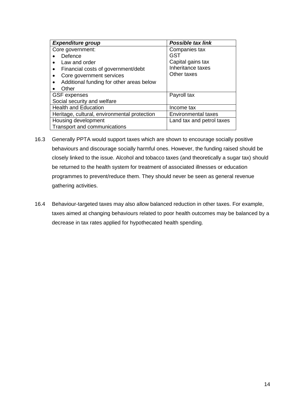| <b>Expenditure group</b>                     | Possible tax link          |  |
|----------------------------------------------|----------------------------|--|
| Core government:                             | Companies tax              |  |
| Defence                                      | GST                        |  |
| Law and order                                | Capital gains tax          |  |
| Financial costs of government/debt           | Inheritance taxes          |  |
| Core government services                     | Other taxes                |  |
| Additional funding for other areas below     |                            |  |
| Other                                        |                            |  |
| <b>GSF</b> expenses                          | Payroll tax                |  |
| Social security and welfare                  |                            |  |
| <b>Health and Education</b>                  | Income tax                 |  |
| Heritage, cultural, environmental protection | <b>Environmental taxes</b> |  |
| Housing development                          | Land tax and petrol taxes  |  |
| Transport and communications                 |                            |  |

- 16.3 Generally PPTA would support taxes which are shown to encourage socially positive behaviours and discourage socially harmful ones. However, the funding raised should be closely linked to the issue. Alcohol and tobacco taxes (and theoretically a sugar tax) should be returned to the health system for treatment of associated illnesses or education programmes to prevent/reduce them. They should never be seen as general revenue gathering activities.
- 16.4 Behaviour-targeted taxes may also allow balanced reduction in other taxes. For example, taxes aimed at changing behaviours related to poor health outcomes may be balanced by a decrease in tax rates applied for hypothecated health spending.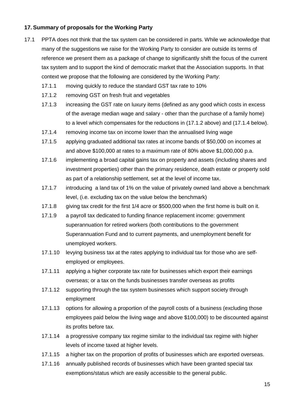#### <span id="page-15-0"></span>**17. Summary of proposals for the Working Party**

- 17.1 PPTA does not think that the tax system can be considered in parts. While we acknowledge that many of the suggestions we raise for the Working Party to consider are outside its terms of reference we present them as a package of change to significantly shift the focus of the current tax system and to support the kind of democratic market that the Association supports. In that context we propose that the following are considered by the Working Party:
	- 17.1.1 moving quickly to reduce the standard GST tax rate to 10%
	- 17.1.2 removing GST on fresh fruit and vegetables
	- 17.1.3 increasing the GST rate on luxury items (defined as any good which costs in excess of the average median wage and salary - other than the purchase of a family home) to a level which compensates for the reductions in (17.1.2 above) and (17.1.4 below).
	- 17.1.4 removing income tax on income lower than the annualised living wage
	- 17.1.5 applying graduated additional tax rates at income bands of \$50,000 on incomes at and above \$100,000 at rates to a maximum rate of 80% above \$1,000,000 p.a.
	- 17.1.6 implementing a broad capital gains tax on property and assets (including shares and investment properties) other than the primary residence, death estate or property sold as part of a relationship settlement, set at the level of income tax.
	- 17.1.7 introducing a land tax of 1% on the value of privately owned land above a benchmark level, (i.e. excluding tax on the value below the benchmark)
	- 17.1.8 giving tax credit for the first 1/4 acre or \$500,000 when the first home is built on it.
	- 17.1.9 a payroll tax dedicated to funding finance replacement income: government superannuation for retired workers (both contributions to the government Superannuation Fund and to current payments, and unemployment benefit for unemployed workers.
	- 17.1.10 levying business tax at the rates applying to individual tax for those who are selfemployed or employees.
	- 17.1.11 applying a higher corporate tax rate for businesses which export their earnings overseas; or a tax on the funds businesses transfer overseas as profits
	- 17.1.12 supporting through the tax system businesses which support society through employment
	- 17.1.13 options for allowing a proportion of the payroll costs of a business (excluding those employees paid below the living wage and above \$100,000) to be discounted against its profits before tax.
	- 17.1.14 a progressive company tax regime similar to the individual tax regime with higher levels of income taxed at higher levels.
	- 17.1.15 a higher tax on the proportion of profits of businesses which are exported overseas.
	- 17.1.16 annually published records of businesses which have been granted special tax exemptions/status which are easily accessible to the general public.